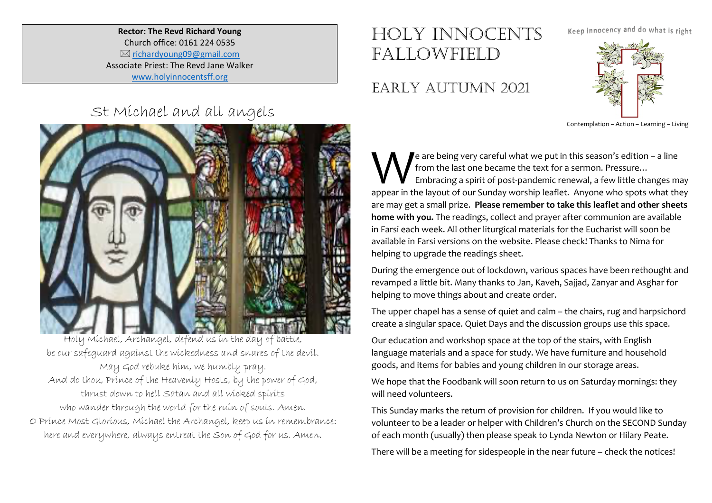**Rector: The Revd Richard Young** Church office: 0161 224 0535  $\boxtimes$  richardyoung09@gmail.com Associate Priest: The Revd Jane Walker www.holyinnocentsff.org

## HOLY INNOCENTS FALLOWFIELD

## EARLY AUTUMN 2021

Keep innocency and do what is right



Contemplation – Action – Learning – Living

e are being very careful what we put in this season's edition – a line from the last one became the text for a sermon. Pressure… Embracing a spirit of post-pandemic renewal, a few little changes may e are being very careful what we put in this season's edition – a line<br>
from the last one became the text for a sermon. Pressure...<br>
Embracing a spirit of post-pandemic renewal, a few little changes may<br>
appear in the layo are may get a small prize. **Please remember to take this leaflet and other sheets home with you.** The readings, collect and prayer after communion are available in Farsi each week. All other liturgical materials for the Eucharist will soon be available in Farsi versions on the website. Please check! Thanks to Nima for helping to upgrade the readings sheet.

During the emergence out of lockdown, various spaces have been rethought and revamped a little bit. Many thanks to Jan, Kaveh, Sajjad, Zanyar and Asghar for helping to move things about and create order.

The upper chapel has a sense of quiet and calm – the chairs, rug and harpsichord create a singular space. Quiet Days and the discussion groups use this space.

Our education and workshop space at the top of the stairs, with English language materials and a space for study. We have furniture and household goods, and items for babies and young children in our storage areas.

We hope that the Foodbank will soon return to us on Saturday mornings: they will need volunteers.

This Sunday marks the return of provision for children. If you would like to volunteer to be a leader or helper with Children's Church on the SECOND Sunday of each month (usually) then please speak to Lynda Newton or Hilary Peate.

There will be a meeting for sidespeople in the near future – check the notices!





Holy Michael, Archangel, defend us in the day of battle, be our safeguard against the wickedness and snares of the devil. May God rebuke him, we humbly pray. And do thou, Prince of the Heavenly Hosts, by the power of God, thrust down to hell Satan and all wicked spirits who wander through the world for the ruin of souls. Amen. O Prince Most Glorious, Michael the Archangel, keep us in remembrance: here and everywhere, always entreat the Son of God for us. Amen.